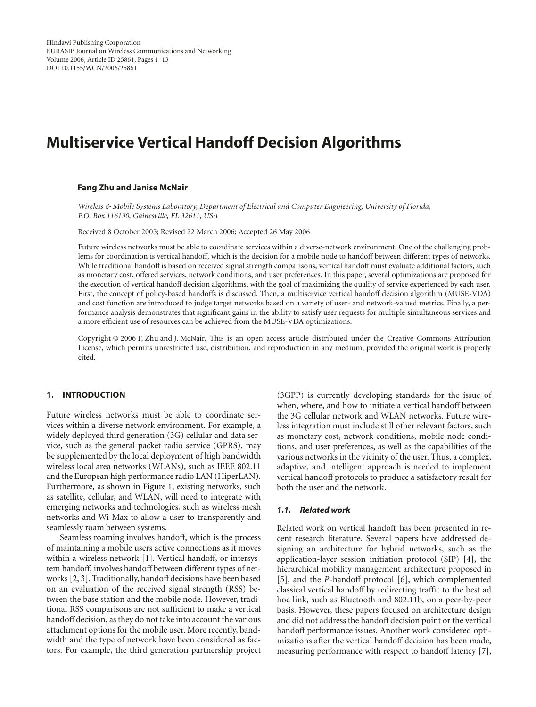# **Multiservice Vertical Handoff Decision Algorithms**

#### **Fang Zhu and Janise McNair**

*Wireless & Mobile Systems Laboratory, Department of Electrical and Computer Engineering, University of Florida, P.O. Box 116130, Gainesville, FL 32611, USA*

Received 8 October 2005; Revised 22 March 2006; Accepted 26 May 2006

Future wireless networks must be able to coordinate services within a diverse-network environment. One of the challenging problems for coordination is vertical handoff, which is the decision for a mobile node to handoff between different types of networks. While traditional handoff is based on received signal strength comparisons, vertical handoff must evaluate additional factors, such as monetary cost, offered services, network conditions, and user preferences. In this paper, several optimizations are proposed for the execution of vertical handoff decision algorithms, with the goal of maximizing the quality of service experienced by each user. First, the concept of policy-based handoffs is discussed. Then, a multiservice vertical handoff decision algorithm (MUSE-VDA) and cost function are introduced to judge target networks based on a variety of user- and network-valued metrics. Finally, a performance analysis demonstrates that significant gains in the ability to satisfy user requests for multiple simultaneous services and a more efficient use of resources can be achieved from the MUSE-VDA optimizations.

Copyright © 2006 F. Zhu and J. McNair. This is an open access article distributed under the Creative Commons Attribution License, which permits unrestricted use, distribution, and reproduction in any medium, provided the original work is properly cited.

## **1. INTRODUCTION**

Future wireless networks must be able to coordinate services within a diverse network environment. For example, a widely deployed third generation (3G) cellular and data service, such as the general packet radio service (GPRS), may be supplemented by the local deployment of high bandwidth wireless local area networks (WLANs), such as IEEE 802.11 and the European high performance radio LAN (HiperLAN). Furthermore, as shown in [Figure 1,](#page-1-0) existing networks, such as satellite, cellular, and WLAN, will need to integrate with emerging networks and technologies, such as wireless mesh networks and Wi-Max to allow a user to transparently and seamlessly roam between systems.

Seamless roaming involves handoff, which is the process of maintaining a mobile users active connections as it moves within a wireless network [\[1](#page-11-1)]. Vertical handoff, or intersystem handoff, involves handoff between different types of networks [\[2](#page-11-2), [3](#page-11-3)]. Traditionally, handoff decisions have been based on an evaluation of the received signal strength (RSS) between the base station and the mobile node. However, traditional RSS comparisons are not sufficient to make a vertical handoff decision, as they do not take into account the various attachment options for the mobile user. More recently, bandwidth and the type of network have been considered as factors. For example, the third generation partnership project

(3GPP) is currently developing standards for the issue of when, where, and how to initiate a vertical handoff between the 3G cellular network and WLAN networks. Future wireless integration must include still other relevant factors, such as monetary cost, network conditions, mobile node conditions, and user preferences, as well as the capabilities of the various networks in the vicinity of the user. Thus, a complex, adaptive, and intelligent approach is needed to implement vertical handoff protocols to produce a satisfactory result for both the user and the network.

# *1.1. Related work*

Related work on vertical handoff has been presented in recent research literature. Several papers have addressed designing an architecture for hybrid networks, such as the application-layer session initiation protocol (SIP) [\[4](#page-11-4)], the hierarchical mobility management architecture proposed in [\[5\]](#page-11-5), and the *P*-handoff protocol [\[6](#page-11-6)], which complemented classical vertical handoff by redirecting traffic to the best ad hoc link, such as Bluetooth and 802.11b, on a peer-by-peer basis. However, these papers focused on architecture design and did not address the handoff decision point or the vertical handoff performance issues. Another work considered optimizations after the vertical handoff decision has been made, measuring performance with respect to handoff latency [\[7](#page-11-7)],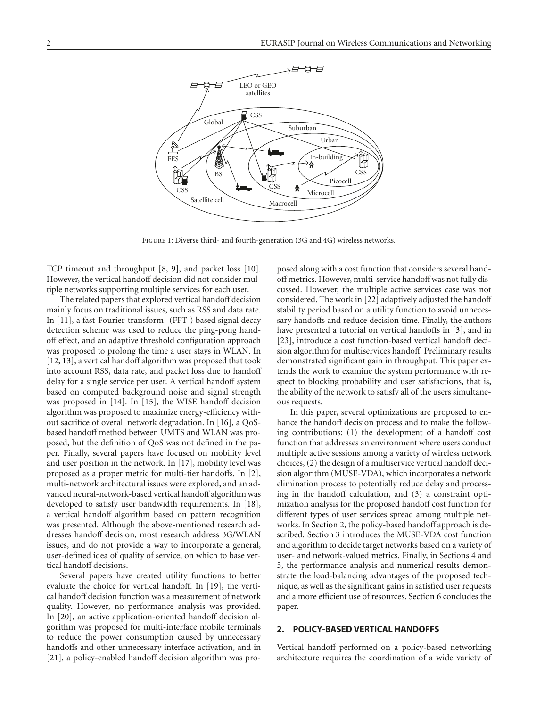

<span id="page-1-0"></span>Figure 1: Diverse third- and fourth-generation (3G and 4G) wireless networks.

TCP timeout and throughput [\[8,](#page-11-8) [9\]](#page-11-9), and packet loss [\[10](#page-11-10)]. However, the vertical handoff decision did not consider multiple networks supporting multiple services for each user.

The related papers that explored vertical handoff decision mainly focus on traditional issues, such as RSS and data rate. In [\[11\]](#page-11-11), a fast-Fourier-transform- (FFT-) based signal decay detection scheme was used to reduce the ping-pong handoff effect, and an adaptive threshold configuration approach was proposed to prolong the time a user stays in WLAN. In [\[12](#page-11-12), [13](#page-11-13)], a vertical handoff algorithm was proposed that took into account RSS, data rate, and packet loss due to handoff delay for a single service per user. A vertical handoff system based on computed background noise and signal strength was proposed in [\[14](#page-11-14)]. In [\[15\]](#page-11-15), the WISE handoff decision algorithm was proposed to maximize energy-efficiency without sacrifice of overall network degradation. In [\[16\]](#page-11-16), a QoSbased handoff method between UMTS and WLAN was proposed, but the definition of QoS was not defined in the paper. Finally, several papers have focused on mobility level and user position in the network. In [\[17](#page-11-17)], mobility level was proposed as a proper metric for multi-tier handoffs. In [\[2](#page-11-2)], multi-network architectural issues were explored, and an advanced neural-network-based vertical handoff algorithm was developed to satisfy user bandwidth requirements. In [\[18](#page-11-18)], a vertical handoff algorithm based on pattern recognition was presented. Although the above-mentioned research addresses handoff decision, most research address 3G/WLAN issues, and do not provide a way to incorporate a general, user-defined idea of quality of service, on which to base vertical handoff decisions.

Several papers have created utility functions to better evaluate the choice for vertical handoff. In [\[19](#page-11-19)], the vertical handoff decision function was a measurement of network quality. However, no performance analysis was provided. In [\[20](#page-11-20)], an active application-oriented handoff decision algorithm was proposed for multi-interface mobile terminals to reduce the power consumption caused by unnecessary handoffs and other unnecessary interface activation, and in [\[21](#page-11-21)], a policy-enabled handoff decision algorithm was proposed along with a cost function that considers several handoff metrics. However, multi-service handoff was not fully discussed. However, the multiple active services case was not considered. The work in [\[22\]](#page-11-22) adaptively adjusted the handoff stability period based on a utility function to avoid unnecessary handoffs and reduce decision time. Finally, the authors have presented a tutorial on vertical handoffs in [\[3](#page-11-3)], and in [\[23](#page-12-0)], introduce a cost function-based vertical handoff decision algorithm for multiservices handoff. Preliminary results demonstrated significant gain in throughput. This paper extends the work to examine the system performance with respect to blocking probability and user satisfactions, that is, the ability of the network to satisfy all of the users simultaneous requests.

In this paper, several optimizations are proposed to enhance the handoff decision process and to make the following contributions: (1) the development of a handoff cost function that addresses an environment where users conduct multiple active sessions among a variety of wireless network choices, (2) the design of a multiservice vertical handoff decision algorithm (MUSE-VDA), which incorporates a network elimination process to potentially reduce delay and processing in the handoff calculation, and (3) a constraint optimization analysis for the proposed handoff cost function for different types of user services spread among multiple networks. In [Section 2,](#page-1-1) the policy-based handoff approach is described. [Section 3](#page-3-0) introduces the MUSE-VDA cost function and algorithm to decide target networks based on a variety of user- and network-valued metrics. Finally, in Sections [4](#page-5-0) and [5,](#page-6-0) the performance analysis and numerical results demonstrate the load-balancing advantages of the proposed technique, as well as the significant gains in satisfied user requests and a more efficient use of resources. [Section 6](#page-11-23) concludes the paper.

## <span id="page-1-1"></span>**2. POLICY-BASED VERTICAL HANDOFFS**

Vertical handoff performed on a policy-based networking architecture requires the coordination of a wide variety of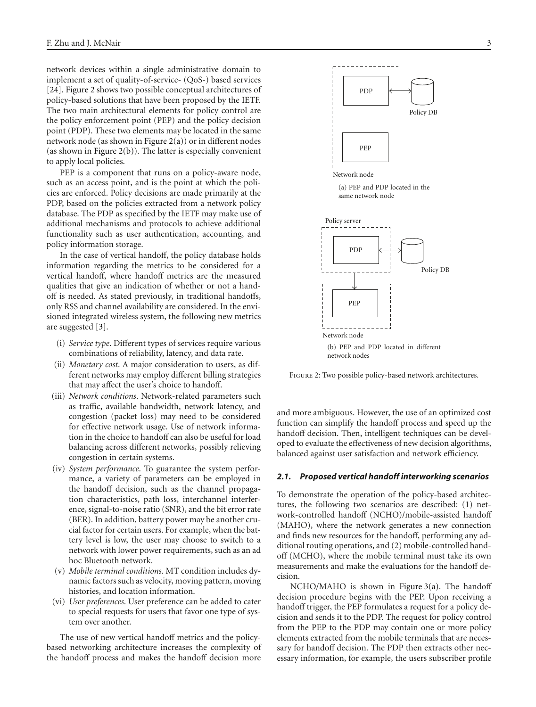network devices within a single administrative domain to implement a set of quality-of-service- (QoS-) based services [\[24](#page-12-1)]. [Figure 2](#page-2-0) shows two possible conceptual architectures of policy-based solutions that have been proposed by the IETF. The two main architectural elements for policy control are the policy enforcement point (PEP) and the policy decision point (PDP). These two elements may be located in the same network node (as shown in [Figure 2\(a\)\)](#page-2-1) or in different nodes (as shown in [Figure 2\(b\)\)](#page-2-2). The latter is especially convenient to apply local policies.

<span id="page-2-2"></span>PEP is a component that runs on a policy-aware node, such as an access point, and is the point at which the policies are enforced. Policy decisions are made primarily at the PDP, based on the policies extracted from a network policy database. The PDP as specified by the IETF may make use of additional mechanisms and protocols to achieve additional functionality such as user authentication, accounting, and policy information storage.

In the case of vertical handoff, the policy database holds information regarding the metrics to be considered for a vertical handoff, where handoff metrics are the measured qualities that give an indication of whether or not a handoff is needed. As stated previously, in traditional handoffs, only RSS and channel availability are considered. In the envisioned integrated wireless system, the following new metrics are suggested [\[3](#page-11-3)].

- (i) *Service type*. Different types of services require various combinations of reliability, latency, and data rate.
- (ii) *Monetary cost*. A major consideration to users, as different networks may employ different billing strategies that may affect the user's choice to handoff.
- (iii) *Network conditions*. Network-related parameters such as traffic, available bandwidth, network latency, and congestion (packet loss) may need to be considered for effective network usage. Use of network information in the choice to handoff can also be useful for load balancing across different networks, possibly relieving congestion in certain systems.
- (iv) *System performance*. To guarantee the system performance, a variety of parameters can be employed in the handoff decision, such as the channel propagation characteristics, path loss, interchannel interference, signal-to-noise ratio (SNR), and the bit error rate (BER). In addition, battery power may be another crucial factor for certain users. For example, when the battery level is low, the user may choose to switch to a network with lower power requirements, such as an ad hoc Bluetooth network.
- (v) *Mobile terminal conditions*. MT condition includes dynamic factors such as velocity, moving pattern, moving histories, and location information.
- (vi) *User preferences*. User preference can be added to cater to special requests for users that favor one type of system over another.

The use of new vertical handoff metrics and the policybased networking architecture increases the complexity of the handoff process and makes the handoff decision more

<span id="page-2-1"></span>

<span id="page-2-0"></span>Figure 2: Two possible policy-based network architectures.

and more ambiguous. However, the use of an optimized cost function can simplify the handoff process and speed up the handoff decision. Then, intelligent techniques can be developed to evaluate the effectiveness of new decision algorithms, balanced against user satisfaction and network efficiency.

## *2.1. Proposed vertical handoff interworking scenarios*

To demonstrate the operation of the policy-based architectures, the following two scenarios are described: (1) network-controlled handoff (NCHO)/mobile-assisted handoff (MAHO), where the network generates a new connection and finds new resources for the handoff, performing any additional routing operations, and (2) mobile-controlled handoff (MCHO), where the mobile terminal must take its own measurements and make the evaluations for the handoff decision.

NCHO/MAHO is shown in [Figure 3\(a\).](#page-3-1) The handoff decision procedure begins with the PEP. Upon receiving a handoff trigger, the PEP formulates a request for a policy decision and sends it to the PDP. The request for policy control from the PEP to the PDP may contain one or more policy elements extracted from the mobile terminals that are necessary for handoff decision. The PDP then extracts other necessary information, for example, the users subscriber profile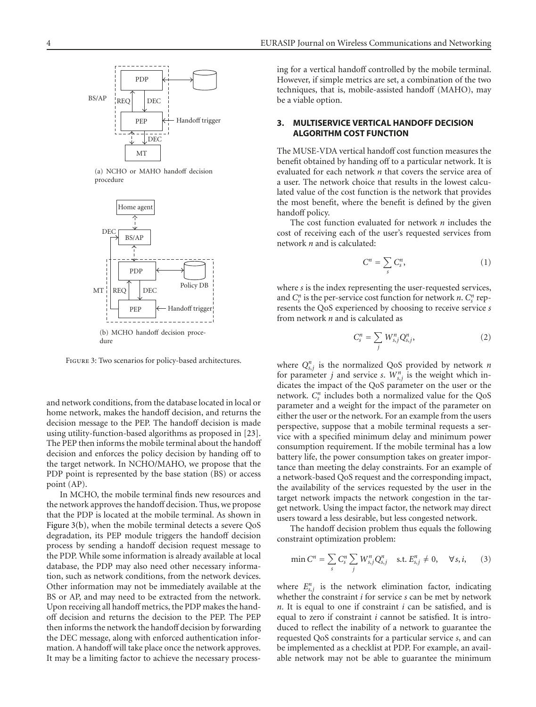<span id="page-3-1"></span>

(a) NCHO or MAHO handoff decision procedure

<span id="page-3-2"></span>

FIGURE 3: Two scenarios for policy-based architectures.

and network conditions, from the database located in local or home network, makes the handoff decision, and returns the decision message to the PEP. The handoff decision is made using utility-function-based algorithms as proposed in [\[23](#page-12-0)]. The PEP then informs the mobile terminal about the handoff decision and enforces the policy decision by handing off to the target network. In NCHO/MAHO, we propose that the PDP point is represented by the base station (BS) or access point (AP).

In MCHO, the mobile terminal finds new resources and the network approves the handoff decision. Thus, we propose that the PDP is located at the mobile terminal. As shown in [Figure 3\(b\),](#page-3-2) when the mobile terminal detects a severe QoS degradation, its PEP module triggers the handoff decision process by sending a handoff decision request message to the PDP. While some information is already available at local database, the PDP may also need other necessary information, such as network conditions, from the network devices. Other information may not be immediately available at the BS or AP, and may need to be extracted from the network. Upon receiving all handoff metrics, the PDP makes the handoff decision and returns the decision to the PEP. The PEP then informs the network the handoff decision by forwarding the DEC message, along with enforced authentication information. A handoff will take place once the network approves. It may be a limiting factor to achieve the necessary processing for a vertical handoff controlled by the mobile terminal. However, if simple metrics are set, a combination of the two techniques, that is, mobile-assisted handoff (MAHO), may be a viable option.

# <span id="page-3-0"></span>**3. MULTISERVICE VERTICAL HANDOFF DECISION ALGORITHM COST FUNCTION**

The MUSE-VDA vertical handoff cost function measures the benefit obtained by handing off to a particular network. It is evaluated for each network *n* that covers the service area of a user. The network choice that results in the lowest calculated value of the cost function is the network that provides the most benefit, where the benefit is defined by the given handoff policy.

The cost function evaluated for network *n* includes the cost of receiving each of the user's requested services from network *n* and is calculated:

$$
C^n = \sum_s C_s^n, \tag{1}
$$

where *s* is the index representing the user-requested services, and  $C_s^n$  is the per-service cost function for network *n*.  $C_s^n$  represents the QoS experienced by choosing to receive service *s* from network *n* and is calculated as

$$
C_s^n = \sum_j W_{s,j}^n Q_{s,j}^n, \qquad (2)
$$

where  $Q_{s,j}^n$  is the normalized QoS provided by network *n* for parameter *j* and service *s*.  $W_{s,j}^n$  is the weight which indicates the impact of the QoS parameter on the user or the network.  $C_s^n$  includes both a normalized value for the QoS parameter and a weight for the impact of the parameter on either the user or the network. For an example from the users perspective, suppose that a mobile terminal requests a service with a specified minimum delay and minimum power consumption requirement. If the mobile terminal has a low battery life, the power consumption takes on greater importance than meeting the delay constraints. For an example of a network-based QoS request and the corresponding impact, the availability of the services requested by the user in the target network impacts the network congestion in the target network. Using the impact factor, the network may direct users toward a less desirable, but less congested network.

The handoff decision problem thus equals the following constraint optimization problem:

<span id="page-3-3"></span>
$$
\min C^{n} = \sum_{s} C_{s}^{n} \sum_{j} W_{s,j}^{n} Q_{s,j}^{n} \quad \text{s.t. } E_{s,j}^{n} \neq 0, \quad \forall s, i, \quad (3)
$$

where  $E_{s,j}^{n}$  is the network elimination factor, indicating whether the constraint *i* for service *s* can be met by network *n*. It is equal to one if constraint *i* can be satisfied, and is equal to zero if constraint *i* cannot be satisfied. It is introduced to reflect the inability of a network to guarantee the requested QoS constraints for a particular service *s*, and can be implemented as a checklist at PDP. For example, an available network may not be able to guarantee the minimum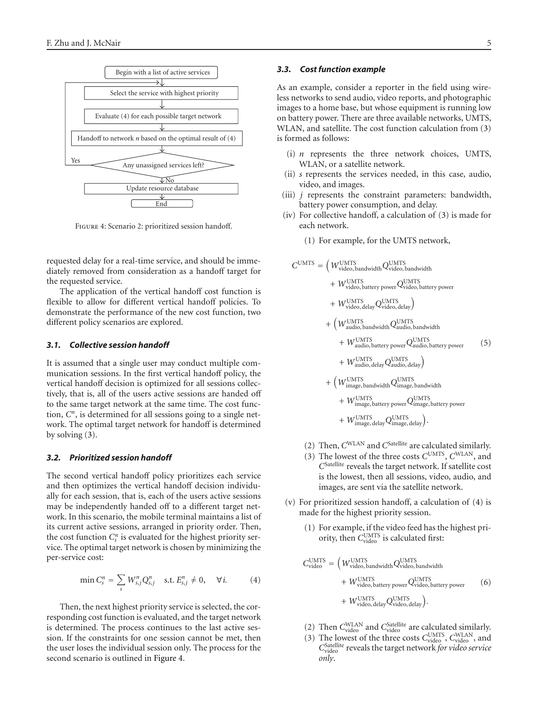

Figure 4: Scenario 2: prioritized session handoff.

<span id="page-4-0"></span>requested delay for a real-time service, and should be immediately removed from consideration as a handoff target for the requested service.

The application of the vertical handoff cost function is flexible to allow for different vertical handoff policies. To demonstrate the performance of the new cost function, two different policy scenarios are explored.

# *3.1. Collective session handoff*

It is assumed that a single user may conduct multiple communication sessions. In the first vertical handoff policy, the vertical handoff decision is optimized for all sessions collectively, that is, all of the users active sessions are handed off to the same target network at the same time. The cost function, *Cn*, is determined for all sessions going to a single network. The optimal target network for handoff is determined by solving [\(3\)](#page-3-3).

# *3.2. Prioritized session handoff*

The second vertical handoff policy prioritizes each service and then optimizes the vertical handoff decision individually for each session, that is, each of the users active sessions may be independently handed off to a different target network. In this scenario, the mobile terminal maintains a list of its current active sessions, arranged in priority order. Then, the cost function  $C_s^n$  is evaluated for the highest priority service. The optimal target network is chosen by minimizing the per-service cost:

<span id="page-4-1"></span>
$$
\min C_s^n = \sum_s W_{s,j}^n Q_{s,j}^n \quad \text{s.t. } E_{s,j}^n \neq 0, \quad \forall i. \tag{4}
$$

Then, the next highest priority service is selected, the corresponding cost function is evaluated, and the target network is determined. The process continues to the last active session. If the constraints for one session cannot be met, then the user loses the individual session only. The process for the second scenario is outlined in [Figure 4.](#page-4-0)

#### *3.3. Cost function example*

As an example, consider a reporter in the field using wireless networks to send audio, video reports, and photographic images to a home base, but whose equipment is running low on battery power. There are three available networks, UMTS, WLAN, and satellite. The cost function calculation from [\(3\)](#page-3-3) is formed as follows:

- (i) *n* represents the three network choices, UMTS, WLAN, or a satellite network.
- (ii) *s* represents the services needed, in this case, audio, video, and images.
- (iii) *j* represents the constraint parameters: bandwidth, battery power consumption, and delay.
- (iv) For collective handoff, a calculation of [\(3\)](#page-3-3) is made for each network.
	- (1) For example, for the UMTS network,

$$
C^{UMTS} = \left(W_{video, bandwidth}^{UMTS} Q_{video, bandwidth}^{UMTS} + W_{video, battery power}^{UMTS} Q_{video, battery power}^{UMTS} + W_{video, battery power}^{UMTS} Q_{video, delay}^{UMTS}\right)
$$

$$
+ \left(W_{audio, bandwidth}^{UMTS} Q_{audio, bandwidth}^{UMTS} + W_{audio, battery power}^{UMTS} Q_{audio, battery power}^{UMTS} + W_{audio, battery power}^{UMTS} Q_{audio, battery power}^{UMTS}\right)
$$

$$
+ \left(W_{undo, delay}^{UMTS} Q_{audio, delay}^{UMTS}\right)
$$

$$
+ \left(W_{image, bandwidth}^{UMTS} Q_{unique, bandwidth}^{UMTS} + W_{image, bandwidth}^{UMTS} Q_{image, battery power}^{UMTS}\right)
$$

$$
+ W_{image, battery power}^{UMTS} Q_{image, battery power}^{UMTS}
$$

$$
+ W_{image, delay}^{UMTS} Q_{image, delay}^{UMTS}\right).
$$

- (2) Then, *C*WLAN and *C*Satellite are calculated similarly.
- (3) The lowest of the three costs *C*UMTS, *C*WLAN, and *C*Satellite reveals the target network. If satellite cost is the lowest, then all sessions, video, audio, and images, are sent via the satellite network.
- (v) For prioritized session handoff, a calculation of [\(4\)](#page-4-1) is made for the highest priority session.
	- (1) For example, if the video feed has the highest priority, then C<sub>video</sub> is calculated first:

$$
C_{\text{video}}^{\text{UMTS}} = \left(W_{\text{video}, \text{bandwidth}}^{\text{UMTS}} Q_{\text{video}, \text{bandwidth}}^{\text{UMTS}} + W_{\text{video}, \text{ battery power}}^{\text{UMTS}} Q_{\text{video}, \text{ battery power}}^{\text{UMTS}} \right)
$$
\n
$$
+ W_{\text{video}, \text{ battery power}}^{\text{UMTS}} Q_{\text{video}, \text{ delay}}^{\text{UMTS}} \right)
$$
\n
$$
+ W_{\text{video}, \text{delay}}^{\text{UMTS}} Q_{\text{video}, \text{ delay}}^{\text{UMTS}} \right)
$$

- (2) Then  $C_{\text{video}}^{\text{WLAN}}$  and  $C_{\text{video}}^{\text{Satellite}}$  are calculated similarly.
- (3) The lowest of the three costs  $C_{\text{video}}^{\text{UMTS}}$ ,  $C_{\text{video}}^{\text{WLAN}}$ , and C<sub>video</sub> reveals the target network for video service *only*.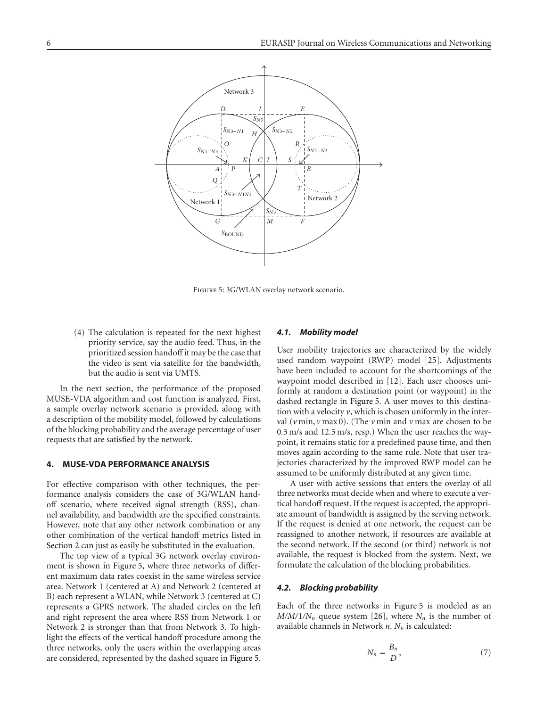

<span id="page-5-1"></span>Figure 5: 3G/WLAN overlay network scenario.

(4) The calculation is repeated for the next highest priority service, say the audio feed. Thus, in the prioritized session handoff it may be the case that the video is sent via satellite for the bandwidth, but the audio is sent via UMTS.

In the next section, the performance of the proposed MUSE-VDA algorithm and cost function is analyzed. First, a sample overlay network scenario is provided, along with a description of the mobility model, followed by calculations of the blocking probability and the average percentage of user requests that are satisfied by the network.

## <span id="page-5-0"></span>**4. MUSE-VDA PERFORMANCE ANALYSIS**

For effective comparison with other techniques, the performance analysis considers the case of 3G/WLAN handoff scenario, where received signal strength (RSS), channel availability, and bandwidth are the specified constraints. However, note that any other network combination or any other combination of the vertical handoff metrics listed in [Section 2](#page-1-1) can just as easily be substituted in the evaluation.

The top view of a typical 3G network overlay environment is shown in [Figure 5,](#page-5-1) where three networks of different maximum data rates coexist in the same wireless service area. Network 1 (centered at A) and Network 2 (centered at B) each represent a WLAN, while Network 3 (centered at C) represents a GPRS network. The shaded circles on the left and right represent the area where RSS from Network 1 or Network 2 is stronger than that from Network 3. To highlight the effects of the vertical handoff procedure among the three networks, only the users within the overlapping areas are considered, represented by the dashed square in [Figure 5.](#page-5-1)

## *4.1. Mobility model*

User mobility trajectories are characterized by the widely used random waypoint (RWP) model [\[25\]](#page-12-2). Adjustments have been included to account for the shortcomings of the waypoint model described in [\[12](#page-11-12)]. Each user chooses uniformly at random a destination point (or waypoint) in the dashed rectangle in [Figure 5.](#page-5-1) A user moves to this destination with a velocity  $\nu$ , which is chosen uniformly in the interval (*v* min, *v* max 0). (The *v* min and *v* max are chosen to be 0*.*3 m/s and 12*.*5 m/s, resp.) When the user reaches the waypoint, it remains static for a predefined pause time, and then moves again according to the same rule. Note that user trajectories characterized by the improved RWP model can be assumed to be uniformly distributed at any given time.

A user with active sessions that enters the overlay of all three networks must decide when and where to execute a vertical handoff request. If the request is accepted, the appropriate amount of bandwidth is assigned by the serving network. If the request is denied at one network, the request can be reassigned to another network, if resources are available at the second network. If the second (or third) network is not available, the request is blocked from the system. Next, we formulate the calculation of the blocking probabilities.

## *4.2. Blocking probability*

Each of the three networks in [Figure 5](#page-5-1) is modeled as an  $M/M/1/N_n$  queue system [\[26](#page-12-3)], where  $N_n$  is the number of available channels in Network *n*. *Nn* is calculated:

$$
N_n = \frac{B_n}{D},\tag{7}
$$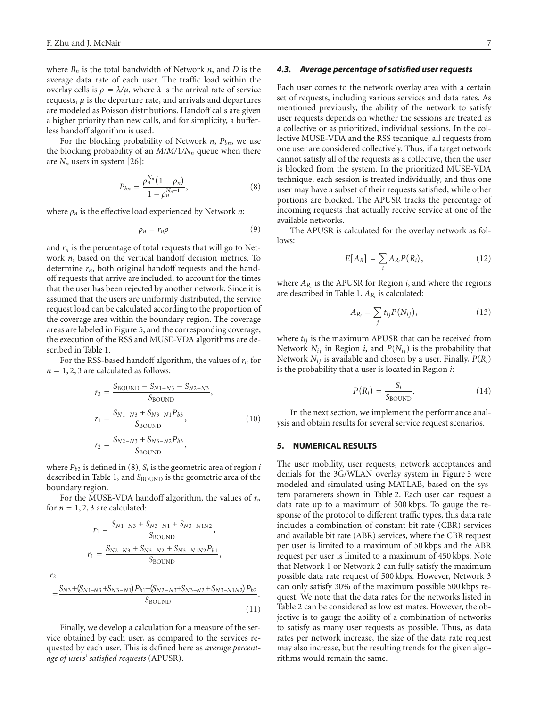where  $B_n$  is the total bandwidth of Network *n*, and *D* is the average data rate of each user. The traffic load within the overlay cells is  $ρ = λ/μ$ , where  $λ$  is the arrival rate of service requests,  $\mu$  is the departure rate, and arrivals and departures are modeled as Poisson distributions. Handoff calls are given a higher priority than new calls, and for simplicity, a bufferless handoff algorithm is used.

For the blocking probability of Network *n*, *Pbn*, we use the blocking probability of an  $M/M/1/N_n$  queue when there are  $N_n$  users in system [\[26](#page-12-3)]:

<span id="page-6-1"></span>
$$
P_{bn} = \frac{\rho_n^{N_n} (1 - \rho_n)}{1 - \rho_n^{N_n + 1}},
$$
\n(8)

where *ρn* is the effective load experienced by Network *n*:

$$
\rho_n = r_n \rho \tag{9}
$$

and  $r_n$  is the percentage of total requests that will go to Network *n*, based on the vertical handoff decision metrics. To determine *rn*, both original handoff requests and the handoff requests that arrive are included, to account for the times that the user has been rejected by another network. Since it is assumed that the users are uniformly distributed, the service request load can be calculated according to the proportion of the coverage area within the boundary region. The coverage areas are labeled in [Figure 5,](#page-5-1) and the corresponding coverage, the execution of the RSS and MUSE-VDA algorithms are described in [Table 1.](#page-7-0)

For the RSS-based handoff algorithm, the values of *rn* for  $n = 1, 2, 3$  are calculated as follows:

$$
r_3 = \frac{S_{\text{BOUND}} - S_{N1 - N3} - S_{N2 - N3}}{S_{\text{BOUND}}},
$$
  
\n
$$
r_1 = \frac{S_{N1 - N3} + S_{N3 - N1}P_{b3}}{S_{\text{BOUND}}},
$$
  
\n
$$
r_2 = \frac{S_{N2 - N3} + S_{N3 - N2}P_{b3}}{S_{\text{SOUND}}},
$$
\n(10)

$$
r_2 = \frac{S_{N2-N3} + S_{N3-N2} \nu_{\beta 3}}{S_{\text{BOUND}}},
$$

where  $P_{b3}$  is defined in [\(8\)](#page-6-1),  $S_i$  is the geometric area of region *i* described in [Table 1,](#page-7-0) and *S*<sub>BOUND</sub> is the geometric area of the boundary region.

For the MUSE-VDA handoff algorithm, the values of *rn* for  $n = 1, 2, 3$  are calculated:

$$
r_1 = \frac{S_{N1-N3} + S_{N3-N1} + S_{N3-N1N2}}{S_{\text{BOUND}}},
$$

$$
r_1 = \frac{S_{N2-N3} + S_{N3-N2} + S_{N3-N1N2}P_{b1}}{S_{\text{BOUND}}},
$$

$$
=\frac{S_{N3}+(S_{N1-N3}+S_{N3-N1})P_{b1}+(S_{N2-N3}+S_{N3-N2}+S_{N3-N1N2})P_{b2}}{S_{\text{BOUND}}}. \tag{11}
$$

*r*2

Finally, we develop a calculation for a measure of the service obtained by each user, as compared to the services requested by each user. This is defined here as *average percentage of users' satisfied requests* (APUSR).

#### *4.3. Average percentage of satisfied user requests*

Each user comes to the network overlay area with a certain set of requests, including various services and data rates. As mentioned previously, the ability of the network to satisfy user requests depends on whether the sessions are treated as a collective or as prioritized, individual sessions. In the collective MUSE-VDA and the RSS technique, all requests from one user are considered collectively. Thus, if a target network cannot satisfy all of the requests as a collective, then the user is blocked from the system. In the prioritized MUSE-VDA technique, each session is treated individually, and thus one user may have a subset of their requests satisfied, while other portions are blocked. The APUSR tracks the percentage of incoming requests that actually receive service at one of the available networks.

The APUSR is calculated for the overlay network as follows:

$$
E[A_R] = \sum_i A_{R_i} P(R_i), \qquad (12)
$$

where  $A_{R_i}$  is the APUSR for Region *i*, and where the regions are described in [Table 1.](#page-7-0) *ARi* is calculated:

$$
A_{R_i} = \sum_i t_{ij} P(N_{ij}), \qquad (13)
$$

where *tij* is the maximum APUSR that can be received from Network  $N_{ij}$  in Region *i*, and  $P(N_{ij})$  is the probability that Network *Nij* is available and chosen by a user. Finally, *P*(*Ri*) is the probability that a user is located in Region *i*:

$$
P(R_i) = \frac{S_i}{S_{\text{BOUND}}}.\tag{14}
$$

In the next section, we implement the performance analysis and obtain results for several service request scenarios.

#### <span id="page-6-0"></span>**5. NUMERICAL RESULTS**

The user mobility, user requests, network acceptances and denials for the 3G/WLAN overlay system in [Figure 5](#page-5-1) were modeled and simulated using MATLAB, based on the system parameters shown in [Table 2.](#page-7-1) Each user can request a data rate up to a maximum of 500 kbps. To gauge the response of the protocol to different traffic types, this data rate includes a combination of constant bit rate (CBR) services and available bit rate (ABR) services, where the CBR request per user is limited to a maximum of 50 kbps and the ABR request per user is limited to a maximum of 450 kbps. Note that Network 1 or Network 2 can fully satisfy the maximum possible data rate request of 500 kbps. However, Network 3 can only satisfy 30% of the maximum possible 500 kbps request. We note that the data rates for the networks listed in [Table 2](#page-7-1) can be considered as low estimates. However, the objective is to gauge the ability of a combination of networks to satisfy as many user requests as possible. Thus, as data rates per network increase, the size of the data rate request may also increase, but the resulting trends for the given algorithms would remain the same.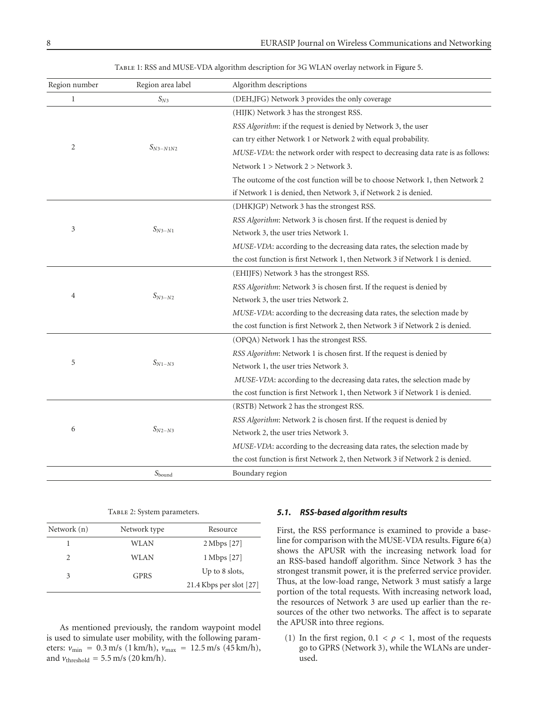<span id="page-7-0"></span>

| Region number  | Region area label | Algorithm descriptions                                                          |
|----------------|-------------------|---------------------------------------------------------------------------------|
| $\mathbf{1}$   | $S_{N3}$          | (DEH,JFG) Network 3 provides the only coverage                                  |
| $\overline{2}$ |                   | (HIJK) Network 3 has the strongest RSS.                                         |
|                | $S_{N3-N1N2}$     | RSS Algorithm: if the request is denied by Network 3, the user                  |
|                |                   | can try either Network 1 or Network 2 with equal probability.                   |
|                |                   | MUSE-VDA: the network order with respect to decreasing data rate is as follows: |
|                |                   | Network $1 >$ Network $2 >$ Network 3.                                          |
|                |                   | The outcome of the cost function will be to choose Network 1, then Network 2    |
|                |                   | if Network 1 is denied, then Network 3, if Network 2 is denied.                 |
| 3              | $S_{N3-N1}$       | (DHKJGP) Network 3 has the strongest RSS.                                       |
|                |                   | RSS Algorithm: Network 3 is chosen first. If the request is denied by           |
|                |                   | Network 3, the user tries Network 1.                                            |
|                |                   | MUSE-VDA: according to the decreasing data rates, the selection made by         |
|                |                   | the cost function is first Network 1, then Network 3 if Network 1 is denied.    |
| 4              | $S_{N3-N2}$       | (EHIJFS) Network 3 has the strongest RSS.                                       |
|                |                   | RSS Algorithm: Network 3 is chosen first. If the request is denied by           |
|                |                   | Network 3, the user tries Network 2.                                            |
|                |                   | MUSE-VDA: according to the decreasing data rates, the selection made by         |
|                |                   | the cost function is first Network 2, then Network 3 if Network 2 is denied.    |
|                | $S_{N1-N3}$       | (OPQA) Network 1 has the strongest RSS.                                         |
|                |                   | RSS Algorithm: Network 1 is chosen first. If the request is denied by           |
| 5              |                   | Network 1, the user tries Network 3.                                            |
|                |                   | MUSE-VDA: according to the decreasing data rates, the selection made by         |
|                |                   | the cost function is first Network 1, then Network 3 if Network 1 is denied.    |
| 6              | $S_{N2-N3}$       | (RSTB) Network 2 has the strongest RSS.                                         |
|                |                   | RSS Algorithm: Network 2 is chosen first. If the request is denied by           |
|                |                   | Network 2, the user tries Network 3.                                            |
|                |                   | MUSE-VDA: according to the decreasing data rates, the selection made by         |
|                |                   | the cost function is first Network 2, then Network 3 if Network 2 is denied.    |
|                | $S_{bound}$       | Boundary region                                                                 |
|                |                   |                                                                                 |

TABLE 1: RSS and MUSE-VDA algorithm description for 3G WLAN overlay network in [Figure 5.](#page-5-1)

|  |  |  | TABLE 2: System parameters. |
|--|--|--|-----------------------------|
|--|--|--|-----------------------------|

<span id="page-7-1"></span>

| Network (n)   | Network type | Resource                  |
|---------------|--------------|---------------------------|
|               | WLAN         | $2 \text{ Mbps}$ [27]     |
| $\mathcal{L}$ | WLAN         | 1 Mbps [27]               |
| 3             | <b>GPRS</b>  | Up to 8 slots,            |
|               |              | 21.4 Kbps per slot $[27]$ |

As mentioned previously, the random waypoint model is used to simulate user mobility, with the following parameters:  $v_{\text{min}} = 0.3 \text{ m/s}$  (1 km/h),  $v_{\text{max}} = 12.5 \text{ m/s}$  (45 km/h), and  $v_{\text{threshold}} = 5.5 \text{ m/s}$  (20 km/h).

#### *5.1. RSS-based algorithm results*

First, the RSS performance is examined to provide a baseline for comparison with the MUSE-VDA results. [Figure 6\(a\)](#page-8-0) shows the APUSR with the increasing network load for an RSS-based handoff algorithm. Since Network 3 has the strongest transmit power, it is the preferred service provider. Thus, at the low-load range, Network 3 must satisfy a large portion of the total requests. With increasing network load, the resources of Network 3 are used up earlier than the resources of the other two networks. The affect is to separate the APUSR into three regions.

(1) In the first region,  $0.1 < \rho < 1$ , most of the requests go to GPRS (Network 3), while the WLANs are underused.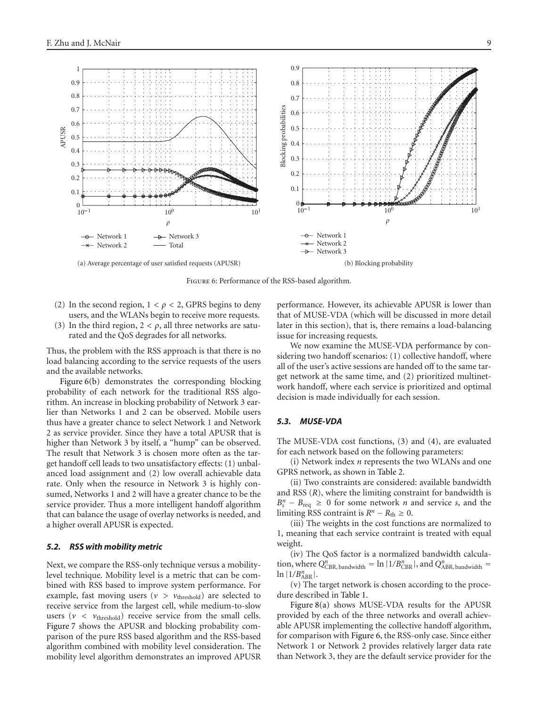<span id="page-8-1"></span><span id="page-8-0"></span>

<span id="page-8-2"></span>Figure 6: Performance of the RSS-based algorithm.

- (2) In the second region,  $1 < \rho < 2$ , GPRS begins to deny users, and the WLANs begin to receive more requests.
- (3) In the third region,  $2 < \rho$ , all three networks are saturated and the QoS degrades for all networks.

Thus, the problem with the RSS approach is that there is no load balancing according to the service requests of the users and the available networks.

[Figure 6\(b\)](#page-8-1) demonstrates the corresponding blocking probability of each network for the traditional RSS algorithm. An increase in blocking probability of Network 3 earlier than Networks 1 and 2 can be observed. Mobile users thus have a greater chance to select Network 1 and Network 2 as service provider. Since they have a total APUSR that is higher than Network 3 by itself, a "hump" can be observed. The result that Network 3 is chosen more often as the target handoff cell leads to two unsatisfactory effects: (1) unbalanced load assignment and (2) low overall achievable data rate. Only when the resource in Network 3 is highly consumed, Networks 1 and 2 will have a greater chance to be the service provider. Thus a more intelligent handoff algorithm that can balance the usage of overlay networks is needed, and a higher overall APUSR is expected.

## *5.2. RSS with mobility metric*

Next, we compare the RSS-only technique versus a mobilitylevel technique. Mobility level is a metric that can be combined with RSS based to improve system performance. For example, fast moving users ( $v > v_{\text{threshold}}$ ) are selected to receive service from the largest cell, while medium-to-slow users  $(v < v_{\text{threshold}})$  receive service from the small cells. [Figure 7](#page-9-0) shows the APUSR and blocking probability comparison of the pure RSS based algorithm and the RSS-based algorithm combined with mobility level consideration. The mobility level algorithm demonstrates an improved APUSR performance. However, its achievable APUSR is lower than that of MUSE-VDA (which will be discussed in more detail later in this section), that is, there remains a load-balancing issue for increasing requests.

We now examine the MUSE-VDA performance by considering two handoff scenarios: (1) collective handoff, where all of the user's active sessions are handed off to the same target network at the same time, and (2) prioritized multinetwork handoff, where each service is prioritized and optimal decision is made individually for each session.

## *5.3. MUSE-VDA*

The MUSE-VDA cost functions, [\(3\)](#page-3-3) and [\(4\)](#page-4-1), are evaluated for each network based on the following parameters:

(i) Network index *n* represents the two WLANs and one GPRS network, as shown in [Table 2.](#page-7-1)

(ii) Two constraints are considered: available bandwidth and RSS (*R*), where the limiting constraint for bandwidth is  $B_s^n - B_{\text{req}} \geq 0$  for some network *n* and service *s*, and the limiting RSS contraint is  $R^n - R_{th} \geq 0$ .

(iii) The weights in the cost functions are normalized to 1, meaning that each service contraint is treated with equal weight.

(iv) The QoS factor is a normalized bandwidth calculation, where  $Q_{\text{CBR, bandwidth}}^n = \ln |1/B_{\text{CBR}}^n|$ , and  $Q_{\text{ABR, bandwidth}}^n =$  $\ln |1/B_{ABR}^n|$ .

(v) The target network is chosen according to the procedure described in [Table 1.](#page-7-0)

[Figure 8\(a\)](#page-9-1) shows MUSE-VDA results for the APUSR provided by each of the three networks and overall achievable APUSR implementing the collective handoff algorithm, for comparison with [Figure 6,](#page-8-2) the RSS-only case. Since either Network 1 or Network 2 provides relatively larger data rate than Network 3, they are the default service provider for the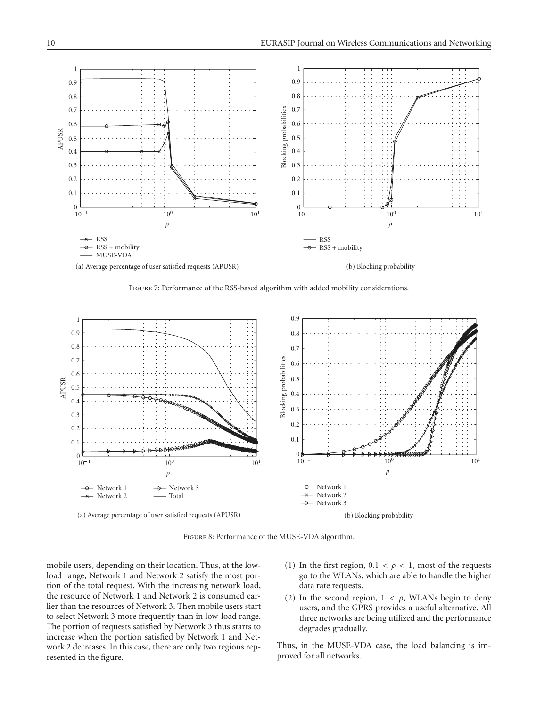

<span id="page-9-2"></span><span id="page-9-0"></span>FIGURE 7: Performance of the RSS-based algorithm with added mobility considerations.

<span id="page-9-1"></span>

Figure 8: Performance of the MUSE-VDA algorithm.

mobile users, depending on their location. Thus, at the lowload range, Network 1 and Network 2 satisfy the most portion of the total request. With the increasing network load, the resource of Network 1 and Network 2 is consumed earlier than the resources of Network 3. Then mobile users start to select Network 3 more frequently than in low-load range. The portion of requests satisfied by Network 3 thus starts to increase when the portion satisfied by Network 1 and Network 2 decreases. In this case, there are only two regions represented in the figure.

- (1) In the first region,  $0.1 < \rho < 1$ , most of the requests go to the WLANs, which are able to handle the higher data rate requests.
- (2) In the second region,  $1 < \rho$ , WLANs begin to deny users, and the GPRS provides a useful alternative. All three networks are being utilized and the performance degrades gradually.

Thus, in the MUSE-VDA case, the load balancing is improved for all networks.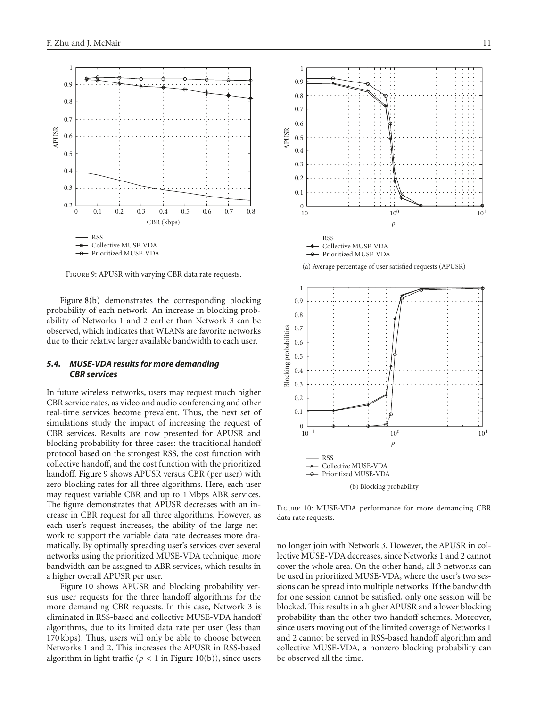

<span id="page-10-2"></span>Figure 9: APUSR with varying CBR data rate requests.

<span id="page-10-0"></span>[Figure 8\(b\)](#page-9-2) demonstrates the corresponding blocking probability of each network. An increase in blocking probability of Networks 1 and 2 earlier than Network 3 can be observed, which indicates that WLANs are favorite networks due to their relative larger available bandwidth to each user.

# *5.4. MUSE-VDA results for more demanding CBR services*

In future wireless networks, users may request much higher CBR service rates, as video and audio conferencing and other real-time services become prevalent. Thus, the next set of simulations study the impact of increasing the request of CBR services. Results are now presented for APUSR and blocking probability for three cases: the traditional handoff protocol based on the strongest RSS, the cost function with collective handoff, and the cost function with the prioritized handoff. [Figure 9](#page-10-0) shows APUSR versus CBR (per user) with zero blocking rates for all three algorithms. Here, each user may request variable CBR and up to 1 Mbps ABR services. The figure demonstrates that APUSR decreases with an increase in CBR request for all three algorithms. However, as each user's request increases, the ability of the large network to support the variable data rate decreases more dramatically. By optimally spreading user's services over several networks using the prioritized MUSE-VDA technique, more bandwidth can be assigned to ABR services, which results in a higher overall APUSR per user.

[Figure 10](#page-10-1) shows APUSR and blocking probability versus user requests for the three handoff algorithms for the more demanding CBR requests. In this case, Network 3 is eliminated in RSS-based and collective MUSE-VDA handoff algorithms, due to its limited data rate per user (less than 170 kbps). Thus, users will only be able to choose between Networks 1 and 2. This increases the APUSR in RSS-based algorithm in light traffic (*ρ <* 1 in [Figure 10\(b\)\)](#page-10-2), since users



1

(b) Blocking probability

<span id="page-10-1"></span>Figure 10: MUSE-VDA performance for more demanding CBR data rate requests.

no longer join with Network 3. However, the APUSR in collective MUSE-VDA decreases, since Networks 1 and 2 cannot cover the whole area. On the other hand, all 3 networks can be used in prioritized MUSE-VDA, where the user's two sessions can be spread into multiple networks. If the bandwidth for one session cannot be satisfied, only one session will be blocked. This results in a higher APUSR and a lower blocking probability than the other two handoff schemes. Moreover, since users moving out of the limited coverage of Networks 1 and 2 cannot be served in RSS-based handoff algorithm and collective MUSE-VDA, a nonzero blocking probability can be observed all the time.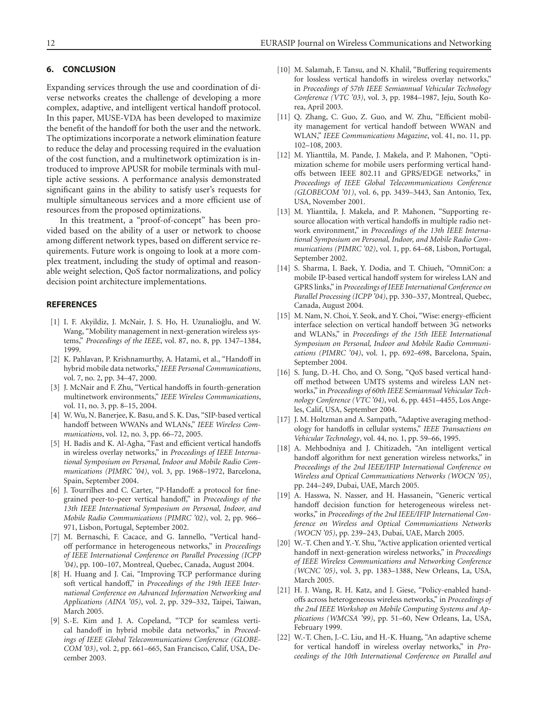# <span id="page-11-23"></span>**6. CONCLUSION**

Expanding services through the use and coordination of diverse networks creates the challenge of developing a more complex, adaptive, and intelligent vertical handoff protocol. In this paper, MUSE-VDA has been developed to maximize the benefit of the handoff for both the user and the network. The optimizations incorporate a network elimination feature to reduce the delay and processing required in the evaluation of the cost function, and a multinetwork optimization is introduced to improve APUSR for mobile terminals with multiple active sessions. A performance analysis demonstrated significant gains in the ability to satisfy user's requests for multiple simultaneous services and a more efficient use of resources from the proposed optimizations.

In this treatment, a "proof-of-concept" has been provided based on the ability of a user or network to choose among different network types, based on different service requirements. Future work is ongoing to look at a more complex treatment, including the study of optimal and reasonable weight selection, QoS factor normalizations, and policy decision point architecture implementations.

## <span id="page-11-1"></span><span id="page-11-0"></span>**REFERENCES**

- [1] I. F. Akyildiz, J. McNair, J. S. Ho, H. Uzunalioğlu, and W. Wang, "Mobility management in next-generation wireless systems," *Proceedings of the IEEE*, vol. 87, no. 8, pp. 1347–1384, 1999.
- <span id="page-11-2"></span>[2] K. Pahlavan, P. Krishnamurthy, A. Hatami, et al., "Handoff in hybrid mobile data networks," *IEEE Personal Communications*, vol. 7, no. 2, pp. 34–47, 2000.
- <span id="page-11-3"></span>[3] J. McNair and F. Zhu, "Vertical handoffs in fourth-generation multinetwork environments," *IEEE Wireless Communications*, vol. 11, no. 3, pp. 8–15, 2004.
- <span id="page-11-4"></span>[4] W. Wu, N. Banerjee, K. Basu, and S. K. Das, "SIP-based vertical handoff between WWANs and WLANs," *IEEE Wireless Communications*, vol. 12, no. 3, pp. 66–72, 2005.
- <span id="page-11-5"></span>[5] H. Badis and K. Al-Agha, "Fast and efficient vertical handoffs in wireless overlay networks," in *Proceedings of IEEE International Symposium on Personal, Indoor and Mobile Radio Communications (PIMRC '04)*, vol. 3, pp. 1968–1972, Barcelona, Spain, September 2004.
- <span id="page-11-6"></span>[6] J. Tourrilhes and C. Carter, "P-Handoff: a protocol for finegrained peer-to-peer vertical handoff," in *Proceedings of the 13th IEEE International Symposium on Personal, Indoor, and Mobile Radio Communications (PIMRC '02)*, vol. 2, pp. 966– 971, Lisbon, Portugal, September 2002.
- <span id="page-11-7"></span>[7] M. Bernaschi, F. Cacace, and G. Iannello, "Vertical handoff performance in heterogeneous networks," in *Proceedings of IEEE International Conference on Parallel Processing (ICPP '04)*, pp. 100–107, Montreal, Quebec, Canada, August 2004.
- <span id="page-11-8"></span>[8] H. Huang and J. Cai, "Improving TCP performance during soft vertical handoff," in *Proceedings of the 19th IEEE International Conference on Advanced Information Networking and Applications (AINA '05)*, vol. 2, pp. 329–332, Taipei, Taiwan, March 2005.
- <span id="page-11-9"></span>[9] S.-E. Kim and J. A. Copeland, "TCP for seamless vertical handoff in hybrid mobile data networks," in *Proceedings of IEEE Global Telecommunications Conference (GLOBE-COM '03)*, vol. 2, pp. 661–665, San Francisco, Calif, USA, December 2003.
- <span id="page-11-10"></span>[10] M. Salamah, F. Tansu, and N. Khalil, "Buffering requirements for lossless vertical handoffs in wireless overlay networks," in *Proceedings of 57th IEEE Semiannual Vehicular Technology Conference (VTC '03)*, vol. 3, pp. 1984–1987, Jeju, South Korea, April 2003.
- <span id="page-11-11"></span>[11] Q. Zhang, C. Guo, Z. Guo, and W. Zhu, "Efficient mobility management for vertical handoff between WWAN and WLAN," *IEEE Communications Magazine*, vol. 41, no. 11, pp. 102–108, 2003.
- <span id="page-11-12"></span>[12] M. Ylianttila, M. Pande, J. Makela, and P. Mahonen, "Optimization scheme for mobile users performing vertical handoffs between IEEE 802.11 and GPRS/EDGE networks," in *Proceedings of IEEE Global Telecommunications Conference (GLOBECOM '01)*, vol. 6, pp. 3439–3443, San Antonio, Tex, USA, November 2001.
- <span id="page-11-13"></span>[13] M. Ylianttila, J. Makela, and P. Mahonen, "Supporting resource allocation with vertical handoffs in multiple radio network environment," in *Proceedings of the 13th IEEE International Symposium on Personal, Indoor, and Mobile Radio Communications (PIMRC '02)*, vol. 1, pp. 64–68, Lisbon, Portugal, September 2002.
- <span id="page-11-14"></span>[14] S. Sharma, I. Baek, Y. Dodia, and T. Chiueh, "OmniCon: a mobile IP-based vertical handoff system for wireless LAN and GPRS links," in *Proceedings of IEEE International Conference on Parallel Processing (ICPP '04)*, pp. 330–337, Montreal, Quebec, Canada, August 2004.
- <span id="page-11-15"></span>[15] M. Nam, N. Choi, Y. Seok, and Y. Choi, "Wise: energy-efficient interface selection on vertical handoff between 3G networks and WLANs," in *Proceedings of the 15th IEEE International Symposium on Personal, Indoor and Mobile Radio Communications (PIMRC '04)*, vol. 1, pp. 692–698, Barcelona, Spain, September 2004.
- <span id="page-11-16"></span>[16] S. Jung, D.-H. Cho, and O. Song, "QoS based vertical handoff method between UMTS systems and wireless LAN networks," in *Proceedings of 60th IEEE Semiannual Vehicular Technology Conference (VTC '04)*, vol. 6, pp. 4451–4455, Los Angeles, Calif, USA, September 2004.
- <span id="page-11-17"></span>[17] J. M. Holtzman and A. Sampath, "Adaptive averaging methodology for handoffs in cellular systems," *IEEE Transactions on Vehicular Technology*, vol. 44, no. 1, pp. 59–66, 1995.
- <span id="page-11-18"></span>[18] A. Mehbodniya and J. Chitizadeh, "An intelligent vertical handoff algorithm for next generation wireless networks," in *Proceedings of the 2nd IEEE/IFIP International Conference on Wireless and Optical Communications Networks (WOCN '05)*, pp. 244–249, Dubai, UAE, March 2005.
- <span id="page-11-19"></span>[19] A. Hasswa, N. Nasser, and H. Hassanein, "Generic vertical handoff decision function for heterogeneous wireless networks," in *Proceedings of the 2nd IEEE/IFIP International Conference on Wireless and Optical Communications Networks (WOCN '05)*, pp. 239–243, Dubai, UAE, March 2005.
- <span id="page-11-20"></span>[20] W.-T. Chen and Y.-Y. Shu, "Active application oriented vertical handoff in next-generation wireless networks," in *Proceedings of IEEE Wireless Communications and Networking Conference (WCNC '05)*, vol. 3, pp. 1383–1388, New Orleans, La, USA, March 2005.
- <span id="page-11-21"></span>[21] H. J. Wang, R. H. Katz, and J. Giese, "Policy-enabled handoffs across heterogeneous wireless networks," in *Proceedings of the 2nd IEEE Workshop on Mobile Computing Systems and Applications (WMCSA '99)*, pp. 51–60, New Orleans, La, USA, February 1999.
- <span id="page-11-22"></span>[22] W.-T. Chen, J.-C. Liu, and H.-K. Huang, "An adaptive scheme for vertical handoff in wireless overlay networks," in *Proceedings of the 10th International Conference on Parallel and*